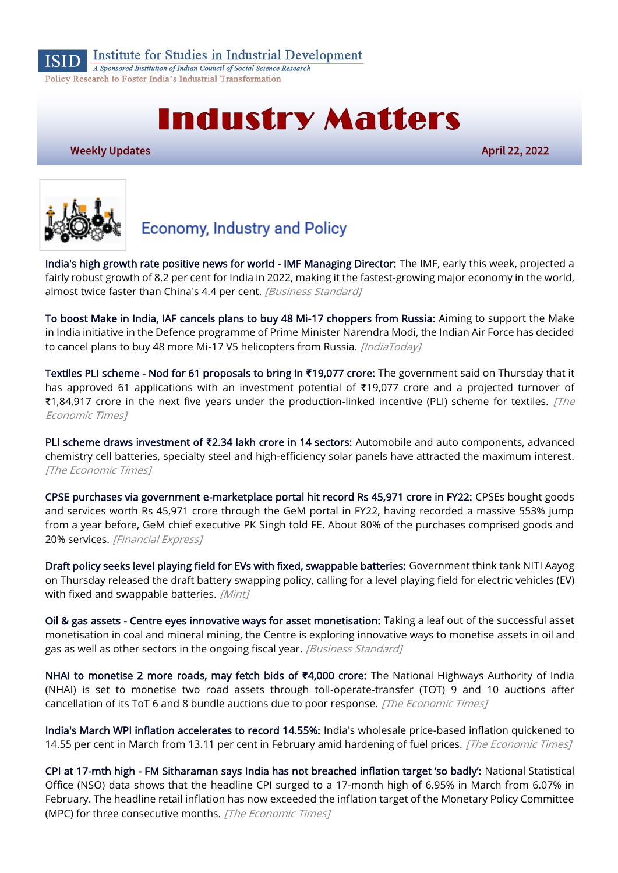

Institute for Studies in Industrial Development

A Sponsored Institution of Indian Council of Social Science Research Policy Research to Foster India's Industrial Transformation

# **Industry Matters**

**Weekly Updates** 

April 22, 2022



# **Economy, Industry and Policy**

[India's high growth rate positive news for world - IMF Managing Director:](https://www.business-standard.com/article/economy-policy/india-s-high-growth-rate-positive-news-for-world-imf-managing-director-122042100089_1.html) The IMF, early this week, projected a fairly robust growth of 8.2 per cent for India in 2022, making it the fastest-growing major economy in the world, almost twice faster than China's 4.4 per cent. [Business Standard]

[To boost Make in India, IAF cancels plans to buy 48 Mi-17 choppers from Russia:](https://www.indiatoday.in/india/story/make-in-india-iaf-mi-17-choppers-russia-1938341-2022-04-16) Aiming to support the Make in India initiative in the Defence programme of Prime Minister Narendra Modi, the Indian Air Force has decided to cancel plans to buy 48 more Mi-17 V5 helicopters from Russia. [IndiaToday]

[Textiles PLI scheme - Nod for 61 proposals to bring in](https://economictimes.indiatimes.com/industry/cons-products/garments-/-textiles/textiles-pli-scheme-nod-for-61-proposals-to-bring-in-19077-crore/articleshow/90853948.cms) **₹**19,077 crore: The government said on Thursday that it has approved 61 applications with an investment potential of ₹19,077 crore and a projected turnover of ₹1,84,917 crore in the next five years under the production-linked incentive (PLI) scheme for textiles. [The Economic Times]

[PLI scheme draws investment of](https://economictimes.indiatimes.com/news/economy/policy/pli-scheme-draws-investment-of-2-34-lakh-crore-in-14-sectors/articleshow/90968836.cms) **₹**2.34 lakh crore in 14 sectors: Automobile and auto components, advanced chemistry cell batteries, specialty steel and high-efficiency solar panels have attracted the maximum interest. [The Economic Times]

[CPSE purchases via government e-marketplace portal hit record Rs 45,971 crore in FY22:](https://www.financialexpress.com/economy/cpse-purchases-via-government-e-marketplace-portal-hit-record-rs-45971-crore-in-fy22/2493283/) CPSEs bought goods and services worth Rs 45,971 crore through the GeM portal in FY22, having recorded a massive 553% jump from a year before, GeM chief executive PK Singh told FE. About 80% of the purchases comprised goods and 20% services. [Financial Express]

[Draft policy seeks level playing field for EVs with fixed, swappable batteries:](https://www.livemint.com/auto-news/draft-policy-seeks-level-playing-field-for-evs-with-fixed-swappable-batteries-11650528587056.html) Government think tank NITI Aayog on Thursday released the draft battery swapping policy, calling for a level playing field for electric vehicles (EV) with fixed and swappable batteries. [Mint]

[Oil & gas assets - Centre eyes innovative ways for asset monetisation:](https://www.business-standard.com/article/economy-policy/oil-gas-assets-centre-eyes-innovative-ways-for-asset-monetisation-122042000049_1.html) Taking a leaf out of the successful asset monetisation in coal and mineral mining, the Centre is exploring innovative ways to monetise assets in oil and gas as well as other sectors in the ongoing fiscal year. [Business Standard]

[NHAI to monetise 2 more roads, may fetch bids of](https://economictimes.indiatimes.com/news/economy/infrastructure/nhai-to-monetise-2-more-roads-may-fetch-bids-of-4000-crore/articleshow/90944213.cms) **₹**4,000 crore: The National Highways Authority of India (NHAI) is set to monetise two road assets through toll-operate-transfer (TOT) 9 and 10 auctions after cancellation of its ToT 6 and 8 bundle auctions due to poor response. [The Economic Times]

[India's March WPI inflation accelerates to record 14.55%:](https://economictimes.indiatimes.com/news/economy/indicators/indias-march-wpi-inflation-accelerates-to-record-14-55/articleshow/90906808.cms) India's wholesale price-based inflation quickened to 14.55 per cent in March from 13.11 per cent in February amid hardening of fuel prices. [The Economic Times]

CPI at 17-mth high - [FM Sitharaman says India has not breached inflation target 'so badly':](https://economictimes.indiatimes.com/news/economy/indicators/cpi-at-17-mth-high-fm-sitharaman-says-india-has-not-breached-inflation-target-so-badly/articleshow/90950707.cms) National Statistical Office (NSO) data shows that the headline CPI surged to a 17-month high of 6.95% in March from 6.07% in February. The headline retail inflation has now exceeded the inflation target of the Monetary Policy Committee (MPC) for three consecutive months. [The Economic Times]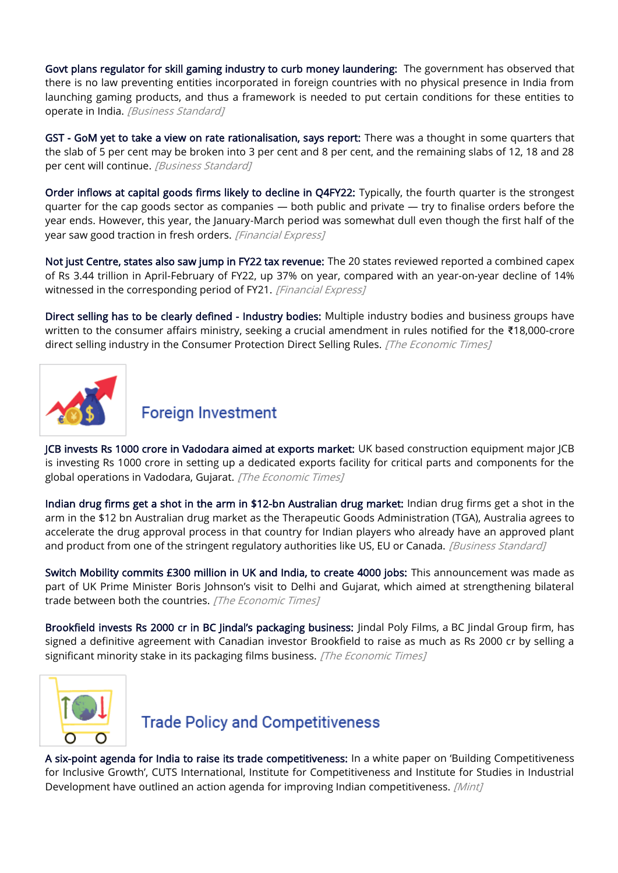[Govt plans regulator for skill gaming industry to curb money laundering:](https://www.business-standard.com/article/companies/govt-plans-regulator-for-skill-gaming-industry-to-curb-money-laundering-122041800019_1.html) The government has observed that there is no law preventing entities incorporated in foreign countries with no physical presence in India from launching gaming products, and thus a framework is needed to put certain conditions for these entities to operate in India. [Business Standard]

[GST - GoM yet to take a view on rate rationalisation, says report:](https://www.business-standard.com/article/economy-policy/gst-gom-yet-to-take-a-view-on-rate-rationalisation-says-report-122041801171_1.html) There was a thought in some quarters that the slab of 5 per cent may be broken into 3 per cent and 8 per cent, and the remaining slabs of 12, 18 and 28 per cent will continue. [Business Standard]

[Order inflows at capital goods firms likely to decline in Q4FY22:](https://www.financialexpress.com/economy/order-inflows-at-cap-goods-firms-likely-to-decline-in-q4fy22/2494289/) Typically, the fourth quarter is the strongest quarter for the cap goods sector as companies — both public and private — try to finalise orders before the year ends. However, this year, the January-March period was somewhat dull even though the first half of the year saw good traction in fresh orders. [Financial Express]

[Not just Centre, states also saw jump in FY22 tax revenue:](https://www.financialexpress.com/economy/not-just-centre-states-also-saw-jump-in-fy22-tax-revenue/2494428/) The 20 states reviewed reported a combined capex of Rs 3.44 trillion in April-February of FY22, up 37% on year, compared with an year-on-year decline of 14% witnessed in the corresponding period of FY21. [Financial Express]

[Direct selling has to be clearly defined - Industry bodies:](https://economictimes.indiatimes.com/industry/services/retail/direct-selling-has-to-be-clearly-defined-industry-bodies/articleshow/90853942.cms) Multiple industry bodies and business groups have written to the consumer affairs ministry, seeking a crucial amendment in rules notified for the ₹18,000-crore direct selling industry in the Consumer Protection Direct Selling Rules. [The Economic Times]



## **Foreign Investment**

[JCB invests Rs 1000 crore in Vadodara aimed at exports market:](https://economictimes.indiatimes.com/industry/indl-goods/svs/engineering/jcb-invests-rs-1000-crore-in-vadodara-aimed-at-exports-market/articleshow/90982636.cms) UK based construction equipment major JCB is investing Rs 1000 crore in setting up a dedicated exports facility for critical parts and components for the global operations in Vadodara, Gujarat. [The Economic Times]

[Indian drug firms get a shot in the arm in \\$12-bn Australian drug market:](https://www.business-standard.com/article/companies/indian-drug-firms-get-a-shot-in-the-arm-in-12-bn-australian-drug-market-122042001497_1.html?utm_source=Spotlight&utm_medium=website&utm_campaign=Premium_11072018) Indian drug firms get a shot in the arm in the \$12 bn Australian drug market as the Therapeutic Goods Administration (TGA), Australia agrees to accelerate the drug approval process in that country for Indian players who already have an approved plant and product from one of the stringent regulatory authorities like US, EU or Canada. [Business Standard]

[Switch Mobility commits £300 million in UK and India, to create 4000 jobs:](https://economictimes.indiatimes.com/industry/renewables/switch-mobility-commits-300-million-in-uk-and-india-to-create-4000-jobs/articleshow/90982935.cms) This announcement was made as part of UK Prime Minister Boris Johnson's visit to Delhi and Gujarat, which aimed at strengthening bilateral trade between both the countries. [The Economic Times]

[Brookfield invests Rs 2000 cr in BC Jindal's packaging business:](https://economictimes.indiatimes.com/industry/indl-goods/svs/packaging/brookfield-invests-rs-2000-cr-in-bc-jindals-packaging-business/articleshow/90283143.cms) Jindal Poly Films, a BC Jindal Group firm, has signed a definitive agreement with Canadian investor Brookfield to raise as much as Rs 2000 cr by selling a significant minority stake in its packaging films business. [The Economic Times]



## **Trade Policy and Competitiveness**

[A six-point agenda for India to raise its trade competitiveness:](https://www.livemint.com/opinion/online-views/a-six-point-agenda-for-india-to-raise-its-trade-competitiveness-11650211718224.html) In a white paper on 'Building Competitiveness for Inclusive Growth', CUTS International, Institute for Competitiveness and Institute for Studies in Industrial Development have outlined an action agenda for improving Indian competitiveness. [Mint]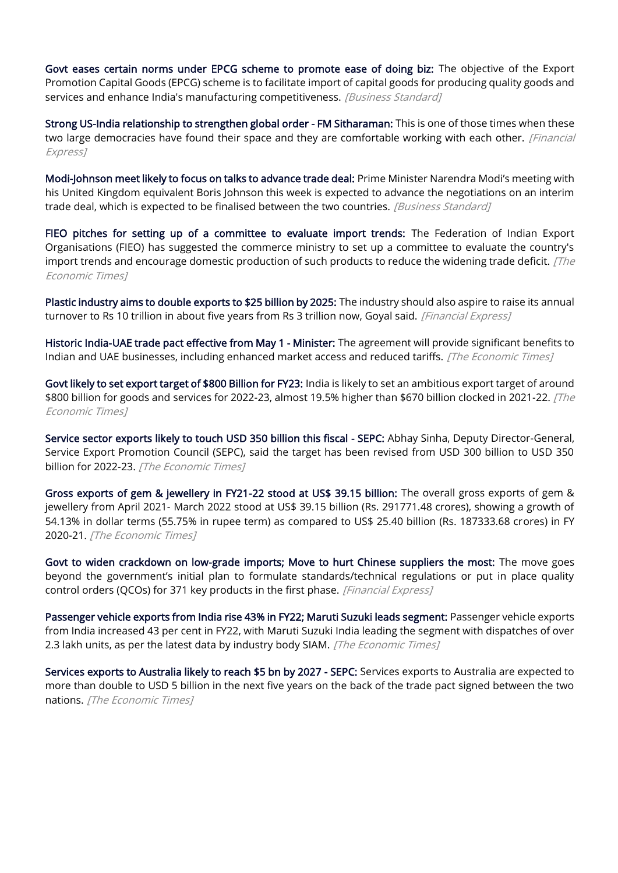[Govt eases certain norms under EPCG scheme to promote ease of doing biz:](https://www.business-standard.com/article/economy-policy/govt-eases-certain-norms-under-epcg-scheme-to-promote-ease-of-doing-biz-122041500835_1.html) The objective of the Export Promotion Capital Goods (EPCG) scheme is to facilitate import of capital goods for producing quality goods and services and enhance India's manufacturing competitiveness. [Business Standard]

[Strong US-India relationship to strengthen global order - FM Sitharaman:](https://www.financialexpress.com/economy/strong-us-india-relationship-to-strengthen-global-order-fm-sitharaman/2496946/) This is one of those times when these two large democracies have found their space and they are comfortable working with each other. [Financial Express]

[Modi-Johnson meet likely to focus on talks to advance trade deal:](https://www.business-standard.com/article/economy-policy/modi-johnson-meet-likely-to-focus-on-talks-to-advance-trade-deal-122042000027_1.html) Prime Minister Narendra Modi's meeting with his United Kingdom equivalent Boris Johnson this week is expected to advance the negotiations on an interim trade deal, which is expected to be finalised between the two countries. [Business Standard]

[FIEO pitches for setting up of a committee to evaluate import trends:](https://economictimes.indiatimes.com/news/economy/foreign-trade/fieo-pitches-for-setting-up-of-a-committee-to-evaluate-import-trends/articleshow/90973729.cms) The Federation of Indian Export Organisations (FIEO) has suggested the commerce ministry to set up a committee to evaluate the country's import trends and encourage domestic production of such products to reduce the widening trade deficit.  $[The$ Economic Times]

[Plastic industry aims to double exports to \\$25 billion by 2025:](https://www.financialexpress.com/industry/plastic-industry-aims-to-double-exports-to-25-billion-by-2025/2493895/) The industry should also aspire to raise its annual turnover to Rs 10 trillion in about five years from Rs 3 trillion now, Goyal said. [Financial Express]

[Historic India-UAE trade pact effective from May 1 - Minister:](https://economictimes.indiatimes.com/news/economy/foreign-trade/historic-india-uae-trade-pact-effective-from-may-1-minister/articleshow/90974901.cms) The agreement will provide significant benefits to Indian and UAE businesses, including enhanced market access and reduced tariffs. [The Economic Times]

[Govt likely to set export target of \\$800 Billion for FY23:](https://economictimes.indiatimes.com/news/economy/foreign-trade/govt-likely-to-set-export-target-of-800-billion-for-fy23/articleshow/90966236.cms) India is likely to set an ambitious export target of around \$800 billion for goods and services for 2022-23, almost 19.5% higher than \$670 billion clocked in 2021-22. [The Economic Times]

[Service sector exports likely to touch USD 350 billion this fiscal - SEPC:](https://economictimes.indiatimes.com/news/economy/foreign-trade/service-sector-exports-likely-to-touch-usd-350-billion-this-fiscal-sepc/articleshow/90965203.cms) Abhay Sinha, Deputy Director-General, Service Export Promotion Council (SEPC), said the target has been revised from USD 300 billion to USD 350 billion for 2022-23. [The Economic Times]

[Gross exports of gem & jewellery in FY21-22 stood at US\\$ 39.15 billion:](https://economictimes.indiatimes.com/industry/cons-products/fashion-/-cosmetics-/-jewellery/gross-exports-of-gem-jewellery-in-fy21-22-stood-at-us-39-15-billion/articleshow/90983565.cms) The overall gross exports of gem & jewellery from April 2021- March 2022 stood at US\$ 39.15 billion (Rs. 291771.48 crores), showing a growth of 54.13% in dollar terms (55.75% in rupee term) as compared to US\$ 25.40 billion (Rs. 187333.68 crores) in FY 2020-21. [The Economic Times]

[Govt to widen crackdown on low-grade imports; Move to hurt Chinese suppliers the most:](https://www.financialexpress.com/economy/govt-to-widen-crackdown-on-low-grade-imports-move-to-hurt-chinese-suppliers-the-most/2493321/) The move goes beyond the government's initial plan to formulate standards/technical regulations or put in place quality control orders (QCOs) for 371 key products in the first phase. [Financial Express]

[Passenger vehicle exports from India rise 43% in FY22; Maruti Suzuki leads segment:](https://economictimes.indiatimes.com/industry/auto/auto-news/passenger-vehicle-exports-from-india-rise-43-in-fy22-maruti-suzuki-leads-segment/articleshow/90903953.cms) Passenger vehicle exports from India increased 43 per cent in FY22, with Maruti Suzuki India leading the segment with dispatches of over 2.3 lakh units, as per the latest data by industry body SIAM. [The Economic Times]

[Services exports to Australia likely to reach \\$5 bn by 2027 - SEPC:](https://economictimes.indiatimes.com/news/economy/foreign-trade/services-exports-to-australia-likely-to-reach-5-bn-by-2027-sepc/articleshow/90862738.cms) Services exports to Australia are expected to more than double to USD 5 billion in the next five years on the back of the trade pact signed between the two nations. [The Economic Times]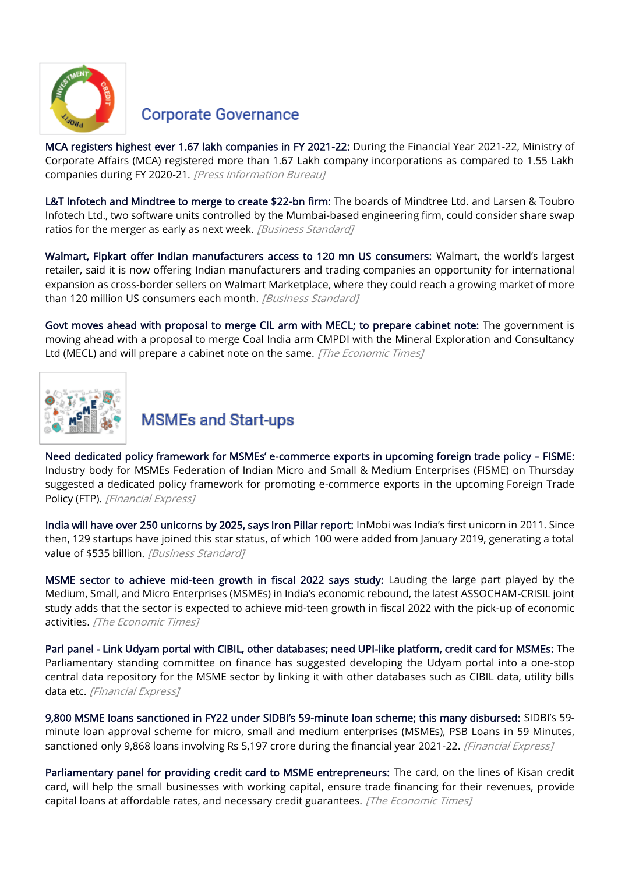

#### **Corporate Governance**

[MCA registers highest ever 1.67 lakh companies in FY 2021-22:](https://www.pib.gov.in/PressReleasePage.aspx?PRID=1817773) During the Financial Year 2021-22, Ministry of Corporate Affairs (MCA) registered more than 1.67 Lakh company incorporations as compared to 1.55 Lakh companies during FY 2020-21. [Press Information Bureau]

[L&T Infotech and Mindtree to merge to create \\$22-bn firm:](https://www.business-standard.com/article/companies/l-t-infotech-and-mindtree-to-merge-to-create-22-bn-firm-report-122041800554_1.html) The boards of Mindtree Ltd. and Larsen & Toubro Infotech Ltd., two software units controlled by the Mumbai-based engineering firm, could consider share swap ratios for the merger as early as next week. [Business Standard]

[Walmart, Flpkart offer Indian manufacturers access to 120 mn US consumers:](https://www.business-standard.com/article/companies/walmart-flipkart-offer-indian-manufacturers-access-to-120-mn-us-consumers-122042100493_1.html) Walmart, the world's largest retailer, said it is now offering Indian manufacturers and trading companies an opportunity for international expansion as cross-border sellers on Walmart Marketplace, where they could reach a growing market of more than 120 million US consumers each month. [Business Standard]

[Govt moves ahead with proposal to merge CIL arm with MECL; to prepare cabinet note:](https://economictimes.indiatimes.com/industry/indl-goods/svs/metals-mining/govt-moves-ahead-with-proposal-to-merge-cil-arm-with-mecl-to-prepare-cabinet-note/articleshow/90983083.cms) The government is moving ahead with a proposal to merge Coal India arm CMPDI with the Mineral Exploration and Consultancy Ltd (MECL) and will prepare a cabinet note on the same. [The Economic Times]



# **MSMEs and Start-ups**

Need dedicated policy framework for MSMEs' e[-commerce exports in upcoming foreign trade policy](https://www.financialexpress.com/industry/sme/msme-exim-need-dedicated-policy-framework-for-msmes-e-commerce-exports-in-upcoming-foreign-trade-policy-fisme/2499448/) – FISME: Industry body for MSMEs Federation of Indian Micro and Small & Medium Enterprises (FISME) on Thursday suggested a dedicated policy framework for promoting e-commerce exports in the upcoming [Foreign Trade](https://www.financialexpress.com/about/foreign-trade-policy/)  [Policy](https://www.financialexpress.com/about/foreign-trade-policy/) (FTP). [Financial Express]

[India will have over 250 unicorns by 2025, says Iron Pillar report:](https://www.business-standard.com/article/companies/india-will-have-over-250-unicorns-by-2025-says-iron-pillar-report-122041800218_1.html) InMobi was India's first unicorn in 2011. Since then, 129 startups have joined this star status, of which 100 were added from January 2019, generating a total value of \$535 billion. [Business Standard]

[MSME sector to achieve mid-teen growth in fiscal 2022 says study:](https://economictimes.indiatimes.com/small-biz/sme-sector/msme-sector-to-achieve-mid-teen-growth-in-fiscal-2022-says-study/articleshow/90955822.cms) Lauding the large part played by the Medium, Small, and Micro Enterprises (MSMEs) in India's economic rebound, the latest ASSOCHAM-CRISIL joint study adds that the sector is expected to achieve mid-teen growth in fiscal 2022 with the pick-up of economic activities. [The Economic Times]

[Parl panel - Link Udyam portal with CIBIL, other databases; need UPI-like platform, credit card for MSMEs:](https://www.financialexpress.com/industry/sme/msme-eodb-parl-panel-link-udyam-portal-with-cibil-other-databases-need-upi-like-platform-credit-card-for-msmes/2494143/) The Parliamentary standing committee on finance has suggested developing the Udyam portal into a one-stop central data repository for the MSME sector by linking it with other databases such as CIBIL data, utility bills data etc. [Financial Express]

[9,800 MSME loans sanctioned in FY22 under SIDBI's 59](https://www.financialexpress.com/industry/sme/msme-fin-9800-msme-loans-sanctioned-in-fy22-under-sidbis-59-minute-loan-scheme-this-many-disbursed/2494355/)-minute loan scheme; this many disbursed: SIDBI's 59 minute loan approval scheme for micro, small and medium enterprises (MSMEs), PSB Loans in 59 Minutes, sanctioned only 9,868 loans involving Rs 5,197 crore during the financial year 2021-22. [Financial Express]

[Parliamentary panel for providing credit card to MSME entrepreneurs:](https://economictimes.indiatimes.com/news/economy/policy/parliamentary-panel-for-providing-credit-card-to-msme-entrepreneurs/articleshow/90868604.cms) The card, on the lines of Kisan credit card, will help the small businesses with working capital, ensure trade financing for their revenues, provide capital loans at affordable rates, and necessary credit guarantees. [The Economic Times]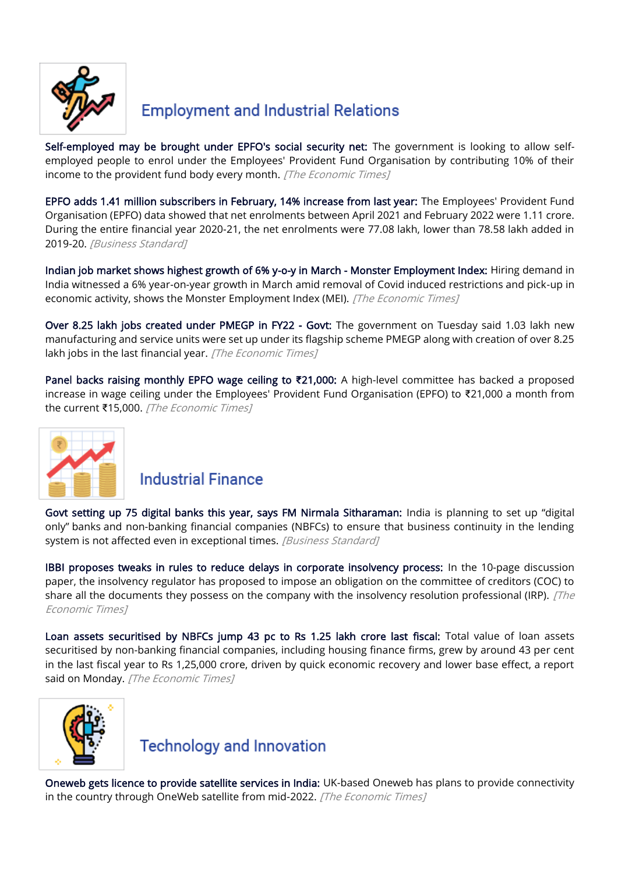

# **Employment and Industrial Relations**

[Self-employed may be brought under EPFO's social security net:](https://economictimes.indiatimes.com/news/economy/finance/self-employed-may-be-brought-under-epfos-social-security-net/articleshow/90966316.cms) The government is looking to allow selfemployed people to enrol under the Employees' Provident Fund Organisation by contributing 10% of their income to the provident fund body every month. [The Economic Times]

[EPFO adds 1.41 million subscribers in February, 14% increase from last year:](https://www.business-standard.com/article/economy-policy/epfo-adds-1-41-million-subscribers-in-february-14-increase-from-last-year-122042001044_1.html) The Employees' Provident Fund Organisation (EPFO) data showed that net enrolments between April 2021 and February 2022 were 1.11 crore. During the entire financial year 2020-21, the net enrolments were 77.08 lakh, lower than 78.58 lakh added in 2019-20. [Business Standard]

[Indian job market shows highest growth of 6% y-o-y in March - Monster Employment Index:](https://economictimes.indiatimes.com/jobs/indian-job-market-shows-highest-growth-of-6-y-o-y-in-march-monster-employment-index/articleshow/90927231.cms) Hiring demand in India witnessed a 6% year-on-year growth in March amid removal of Covid induced restrictions and pick-up in economic activity, shows the Monster Employment Index (MEI). [The Economic Times]

[Over 8.25 lakh jobs created under PMEGP in FY22 - Govt:](https://economictimes.indiatimes.com/news/economy/indicators/over-8-25-lakh-jobs-created-under-pmegp-in-fy22-govt/articleshow/90940272.cms) The government on Tuesday said 1.03 lakh new manufacturing and service units were set up under its flagship scheme PMEGP along with creation of over 8.25 lakh jobs in the last financial year. [The Economic Times]

[Panel backs raising monthly EPFO wage ceiling to](https://economictimes.indiatimes.com/news/economy/policy/panel-backs-raising-monthly-epfo-wage-ceiling-to-21000/articleshow/90899465.cms) **₹**21,000: A high-level committee has backed a proposed increase in wage ceiling under the Employees' Provident Fund Organisation (EPFO) to ₹21,000 a month from the current ₹15,000. [The Economic Times]



#### **Industrial Finance**

[Govt setting up 75 digital banks this year, says FM Nirmala Sitharaman:](https://www.business-standard.com/article/economy-policy/govt-setting-up-75-digital-banks-this-year-says-fm-nirmala-sitharaman-122041901406_1.html) India is planning to set up "digital only" banks and non-banking financial companies (NBFCs) to ensure that business continuity in the lending system is not affected even in exceptional times. [Business Standard]

[IBBI proposes tweaks in rules to reduce delays in corporate insolvency process:](https://economictimes.indiatimes.com/industry/banking/finance/banking/ibbi-proposes-tweaks-in-rules-to-reduce-delays-in-corporate-insolvency-process/articleshow/90954889.cms) In the 10-page discussion paper, the insolvency regulator has proposed to impose an obligation on the committee of creditors (COC) to share all the documents they possess on the company with the insolvency resolution professional (IRP).  $\int$   $\bar{f}$   $\hbar$   $\bar{e}$ Economic Times]

[Loan assets securitised by NBFCs jump 43 pc to Rs 1.25 lakh crore last fiscal:](https://economictimes.indiatimes.com/industry/banking/finance/banking/loan-assets-securitised-by-nbfcs-jump-43-pc-to-rs-1-25-lakh-crore-last-fiscal-report/articleshow/90913566.cms) Total value of loan assets securitised by non-banking financial companies, including housing finance firms, grew by around 43 per cent in the last fiscal year to Rs 1,25,000 crore, driven by quick economic recovery and lower base effect, a report said on Monday. [The Economic Times]



## **Technology and Innovation**

[Oneweb gets licence to provide satellite services in India:](https://economictimes.indiatimes.com/industry/telecom/telecom-news/oneweb-gets-licence-to-provide-satellite-services-in-india/articleshow/90987608.cms) UK-based Oneweb has plans to provide connectivity in the country through OneWeb satellite from mid-2022. [The Economic Times]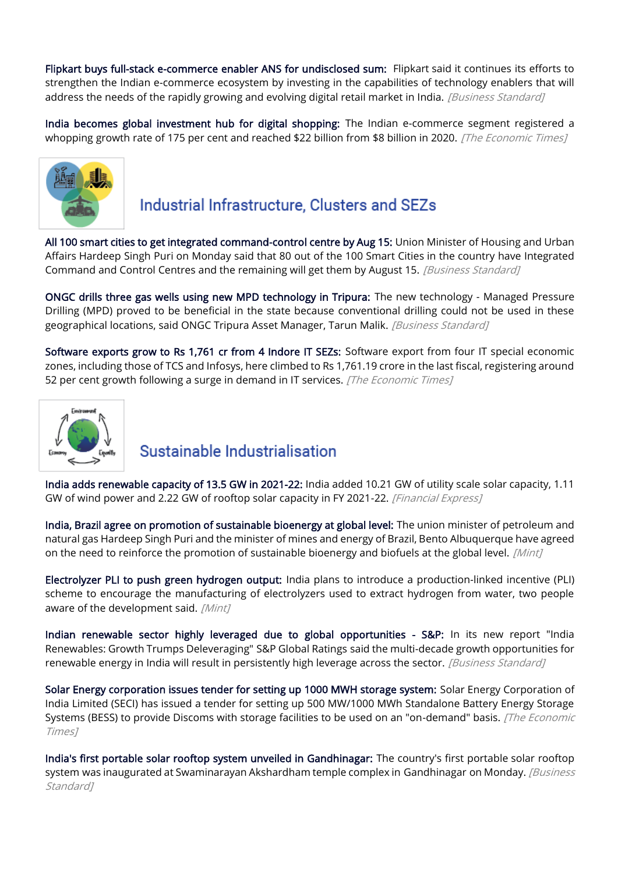[Flipkart buys full-stack e-commerce enabler ANS for undisclosed sum:](https://www.business-standard.com/article/companies/flipkart-buys-full-stack-e-commerce-enabler-ans-for-undisclosed-sum-122041900736_1.html) Flipkart said it continues its efforts to strengthen the Indian e-commerce ecosystem by investing in the capabilities of technology enablers that will address the needs of the rapidly growing and evolving digital retail market in India. [Business Standard]

[India becomes global investment hub for digital shopping:](https://cio.economictimes.indiatimes.com/news/consumer-tech/india-becomes-global-investment-hub-for-digital-shopping/90978075) The Indian e-commerce segment registered a whopping growth rate of 175 per cent and reached \$22 billion from \$8 billion in 2020. [The Economic Times]



# Industrial Infrastructure, Clusters and SEZs

[All 100 smart cities to get integrated command-control centre by Aug 15:](https://www.business-standard.com/article/economy-policy/all-100-smart-cities-to-get-integrated-command-control-centre-by-aug-15-122041900123_1.html) Union Minister of Housing and Urban Affairs Hardeep Singh Puri on Monday said that 80 out of the 100 Smart Cities in the country have Integrated Command and Control Centres and the remaining will get them by August 15. [Business Standard]

[ONGC drills three gas wells using new MPD technology in Tripura:](https://www.business-standard.com/article/companies/ongc-drills-three-gas-wells-using-new-mpd-technology-in-tripura-122041700456_1.html) The new technology - Managed Pressure Drilling (MPD) proved to be beneficial in the state because conventional drilling could not be used in these geographical locations, said ONGC Tripura Asset Manager, Tarun Malik. *[Business Standard]* 

[Software exports grow to Rs 1,761 cr from 4 Indore IT SEZs:](https://economictimes.indiatimes.com/news/economy/foreign-trade/software-exports-grow-to-rs-1761-cr-from-4-indore-it-sezs/articleshow/90879245.cms) Software export from four IT special economic zones, including those of TCS and Infosys, here climbed to Rs 1,761.19 crore in the last fiscal, registering around 52 per cent growth following a surge in demand in IT services. [The Economic Times]



## Sustainable Industrialisation

[India adds renewable capacity of 13.5 GW in 2021-22:](https://www.financialexpress.com/economy/india-adds-renewable-capacity-of-13-5-gw-in-2021-22/2499302/) India added 10.21 GW of utility scale solar capacity, 1.11 GW of wind power and 2.22 GW of rooftop solar capacity in FY 2021-22. [Financial Express]

[India, Brazil agree on promotion of sustainable bioenergy at global level:](https://www.livemint.com/news/india/india-brazil-agree-on-promotion-of-sustainable-bioenergy-at-global-level-11650559732374.html) The union minister of petroleum and natural gas Hardeep Singh Puri and the minister of mines and energy of Brazil, Bento Albuquerque have agreed on the need to reinforce the promotion of sustainable bioenergy and biofuels at the global level. *[Mint]* 

[Electrolyzer PLI to push green hydrogen output:](https://www.livemint.com/industry/energy/electrolyzer-pli-to-spur-green-hydrogen-output-in-the-works-11650479782392.html) India plans to introduce a production-linked incentive (PLI) scheme to encourage the manufacturing of electrolyzers used to extract hydrogen from water, two people aware of the development said. [Mint]

[Indian renewable sector highly leveraged due to global opportunities - S&P:](https://www.business-standard.com/article/companies/growth-opportunities-will-result-indian-renewable-companies-highly-leveraged-s-p-global-ratings-122041800430_1.html) In its new report "India Renewables: Growth Trumps Deleveraging" S&P Global Ratings said the multi-decade growth opportunities for renewable energy in India will result in persistently high leverage across the sector. [Business Standard]

[Solar Energy corporation issues tender for setting up 1000 MWH storage system:](https://economictimes.indiatimes.com/industry/renewables/solar-energy-corporation-issues-tender-for-setting-up-1000-mwh-storage-system/articleshow/90893915.cms) Solar Energy Corporation of India Limited (SECI) has issued a tender for setting up 500 MW/1000 MWh Standalone Battery Energy Storage Systems (BESS) to provide Discoms with storage facilities to be used on an "on-demand" basis. [The Economic Times]

[India's first portable solar rooftop system unveiled in Gandhinagar:](https://www.business-standard.com/article/current-affairs/india-s-first-portable-solar-rooftop-system-unveiled-in-gandhinagar-122041900623_1.html) The country's first portable solar rooftop system was inaugurated at Swaminarayan Akshardham temple complex in Gandhinagar on Monday. *[Business* Standard<sub>1</sub>